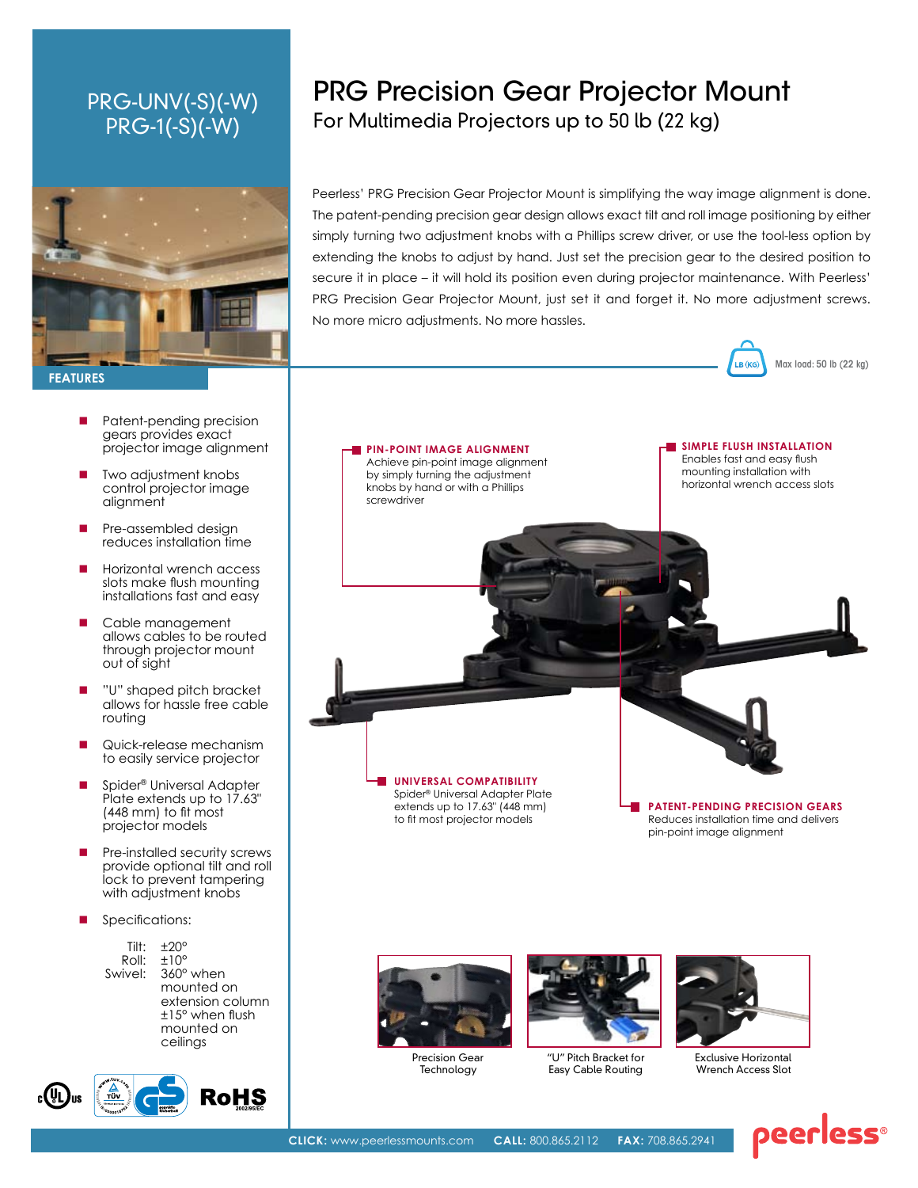## PRG-UNV(-S)(-W) PRG-1(-S)(-W)



- Patent-pending precision gears provides exact projector image alignment
- Two adjustment knobs control projector image alignment
- Pre-assembled design reduces installation time
- Horizontal wrench access slots make flush mounting installations fast and easy
- Cable management allows cables to be routed through projector mount out of sight
- "U" shaped pitch bracket allows for hassle free cable routing
- Quick-release mechanism to easily service projector
- Spider® Universal Adapter Plate extends up to 17.63" (448 mm) to fit most projector models
- Pre-installed security screws provide optional tilt and roll lock to prevent tampering with adjustment knobs
- Specifications:





# PRG Precision Gear Projector Mount For Multimedia Projectors up to 50 lb (22 kg)

Peerless' PRG Precision Gear Projector Mount is simplifying the way image alignment is done. The patent-pending precision gear design allows exact tilt and roll image positioning by either simply turning two adjustment knobs with a Phillips screw driver, or use the tool-less option by extending the knobs to adjust by hand. Just set the precision gear to the desired position to secure it in place – it will hold its position even during projector maintenance. With Peerless' PRG Precision Gear Projector Mount, just set it and forget it. No more adjustment screws. No more micro adjustments. No more hassles.









"U" Pitch Bracket for Easy Cable Routing



Max load: 50 lb (22 kg)

LB (k